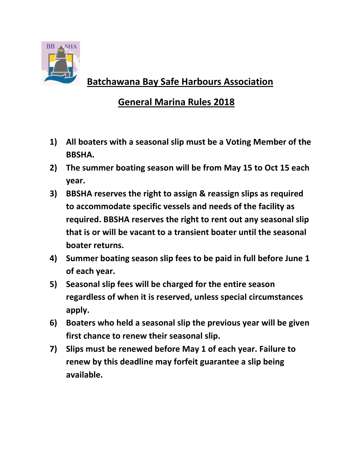

## **Batchawana Bay Safe Harbours Association**

## **General Marina Rules 2018**

- **1) All boaters with a seasonal slip must be a Voting Member of the BBSHA.**
- **2) The summer boating season will be from May 15 to Oct 15 each year.**
- **3) BBSHA reserves the right to assign & reassign slips as required to accommodate specific vessels and needs of the facility as required. BBSHA reserves the right to rent out any seasonal slip that is or will be vacant to a transient boater until the seasonal boater returns.**
- **4) Summer boating season slip fees to be paid in full before June 1 of each year.**
- **5) Seasonal slip fees will be charged for the entire season regardless of when it is reserved, unless special circumstances apply.**
- **6) Boaters who held a seasonal slip the previous year will be given first chance to renew their seasonal slip.**
- **7) Slips must be renewed before May 1 of each year. Failure to renew by this deadline may forfeit guarantee a slip being available.**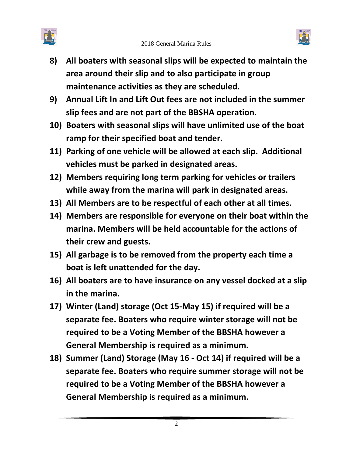



- **8) All boaters with seasonal slips will be expected to maintain the area around their slip and to also participate in group maintenance activities as they are scheduled.**
- **9) Annual Lift In and Lift Out fees are not included in the summer slip fees and are not part of the BBSHA operation.**
- **10) Boaters with seasonal slips will have unlimited use of the boat ramp for their specified boat and tender.**
- **11) Parking of one vehicle will be allowed at each slip. Additional vehicles must be parked in designated areas.**
- **12) Members requiring long term parking for vehicles or trailers while away from the marina will park in designated areas.**
- **13) All Members are to be respectful of each other at all times.**
- **14) Members are responsible for everyone on their boat within the marina. Members will be held accountable for the actions of their crew and guests.**
- **15) All garbage is to be removed from the property each time a boat is left unattended for the day.**
- **16) All boaters are to have insurance on any vessel docked at a slip in the marina.**
- **17) Winter (Land) storage (Oct 15-May 15) if required will be a separate fee. Boaters who require winter storage will not be required to be a Voting Member of the BBSHA however a General Membership is required as a minimum.**
- **18) Summer (Land) Storage (May 16 - Oct 14) if required will be a separate fee. Boaters who require summer storage will not be required to be a Voting Member of the BBSHA however a General Membership is required as a minimum.**